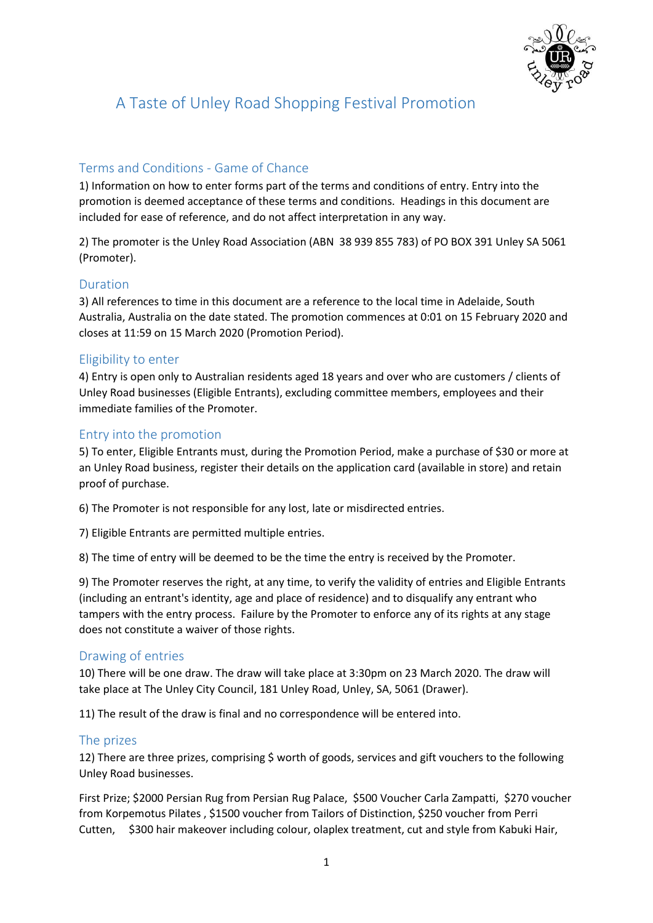

# A Taste of Unley Road Shopping Festival Promotion

# Terms and Conditions - Game of Chance

1) Information on how to enter forms part of the terms and conditions of entry. Entry into the promotion is deemed acceptance of these terms and conditions. Headings in this document are included for ease of reference, and do not affect interpretation in any way.

2) The promoter is the Unley Road Association (ABN 38 939 855 783) of PO BOX 391 Unley SA 5061 (Promoter).

# Duration

3) All references to time in this document are a reference to the local time in Adelaide, South Australia, Australia on the date stated. The promotion commences at 0:01 on 15 February 2020 and closes at 11:59 on 15 March 2020 (Promotion Period).

# Eligibility to enter

4) Entry is open only to Australian residents aged 18 years and over who are customers / clients of Unley Road businesses (Eligible Entrants), excluding committee members, employees and their immediate families of the Promoter.

#### Entry into the promotion

5) To enter, Eligible Entrants must, during the Promotion Period, make a purchase of \$30 or more at an Unley Road business, register their details on the application card (available in store) and retain proof of purchase.

6) The Promoter is not responsible for any lost, late or misdirected entries.

7) Eligible Entrants are permitted multiple entries.

8) The time of entry will be deemed to be the time the entry is received by the Promoter.

9) The Promoter reserves the right, at any time, to verify the validity of entries and Eligible Entrants (including an entrant's identity, age and place of residence) and to disqualify any entrant who tampers with the entry process. Failure by the Promoter to enforce any of its rights at any stage does not constitute a waiver of those rights.

#### Drawing of entries

10) There will be one draw. The draw will take place at 3:30pm on 23 March 2020. The draw will take place at The Unley City Council, 181 Unley Road, Unley, SA, 5061 (Drawer).

11) The result of the draw is final and no correspondence will be entered into.

#### The prizes

12) There are three prizes, comprising \$ worth of goods, services and gift vouchers to the following Unley Road businesses.

First Prize; \$2000 Persian Rug from Persian Rug Palace, \$500 Voucher Carla Zampatti, \$270 voucher from Korpemotus Pilates , \$1500 voucher from Tailors of Distinction, \$250 voucher from Perri Cutten, \$300 hair makeover including colour, olaplex treatment, cut and style from Kabuki Hair,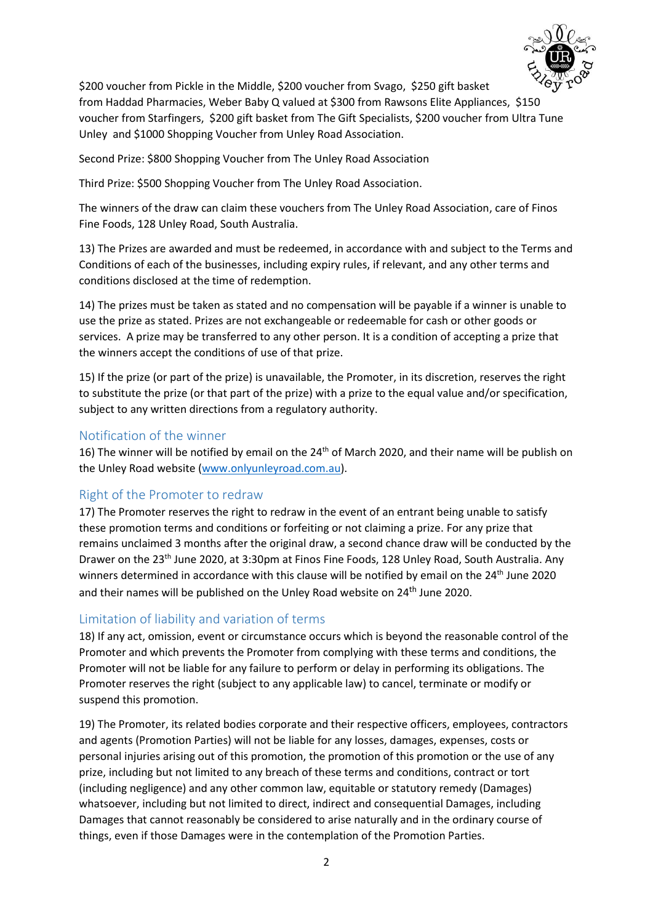

\$200 voucher from Pickle in the Middle, \$200 voucher from Svago, \$250 gift basket from Haddad Pharmacies, Weber Baby Q valued at \$300 from Rawsons Elite Appliances, \$150 voucher from Starfingers, \$200 gift basket from The Gift Specialists, \$200 voucher from Ultra Tune Unley and \$1000 Shopping Voucher from Unley Road Association.

Second Prize: \$800 Shopping Voucher from The Unley Road Association

Third Prize: \$500 Shopping Voucher from The Unley Road Association.

The winners of the draw can claim these vouchers from The Unley Road Association, care of Finos Fine Foods, 128 Unley Road, South Australia.

13) The Prizes are awarded and must be redeemed, in accordance with and subject to the Terms and Conditions of each of the businesses, including expiry rules, if relevant, and any other terms and conditions disclosed at the time of redemption.

14) The prizes must be taken as stated and no compensation will be payable if a winner is unable to use the prize as stated. Prizes are not exchangeable or redeemable for cash or other goods or services. A prize may be transferred to any other person. It is a condition of accepting a prize that the winners accept the conditions of use of that prize.

15) If the prize (or part of the prize) is unavailable, the Promoter, in its discretion, reserves the right to substitute the prize (or that part of the prize) with a prize to the equal value and/or specification, subject to any written directions from a regulatory authority.

#### Notification of the winner

16) The winner will be notified by email on the  $24<sup>th</sup>$  of March 2020, and their name will be publish on the Unley Road website [\(www.onlyunleyroad.com.au\)](http://www.onlyunleyroad.com.au/).

# Right of the Promoter to redraw

17) The Promoter reserves the right to redraw in the event of an entrant being unable to satisfy these promotion terms and conditions or forfeiting or not claiming a prize. For any prize that remains unclaimed 3 months after the original draw, a second chance draw will be conducted by the Drawer on the 23th June 2020, at 3:30pm at Finos Fine Foods, 128 Unley Road, South Australia. Any winners determined in accordance with this clause will be notified by email on the 24<sup>th</sup> June 2020 and their names will be published on the Unley Road website on 24<sup>th</sup> June 2020.

# Limitation of liability and variation of terms

18) If any act, omission, event or circumstance occurs which is beyond the reasonable control of the Promoter and which prevents the Promoter from complying with these terms and conditions, the Promoter will not be liable for any failure to perform or delay in performing its obligations. The Promoter reserves the right (subject to any applicable law) to cancel, terminate or modify or suspend this promotion.

19) The Promoter, its related bodies corporate and their respective officers, employees, contractors and agents (Promotion Parties) will not be liable for any losses, damages, expenses, costs or personal injuries arising out of this promotion, the promotion of this promotion or the use of any prize, including but not limited to any breach of these terms and conditions, contract or tort (including negligence) and any other common law, equitable or statutory remedy (Damages) whatsoever, including but not limited to direct, indirect and consequential Damages, including Damages that cannot reasonably be considered to arise naturally and in the ordinary course of things, even if those Damages were in the contemplation of the Promotion Parties.